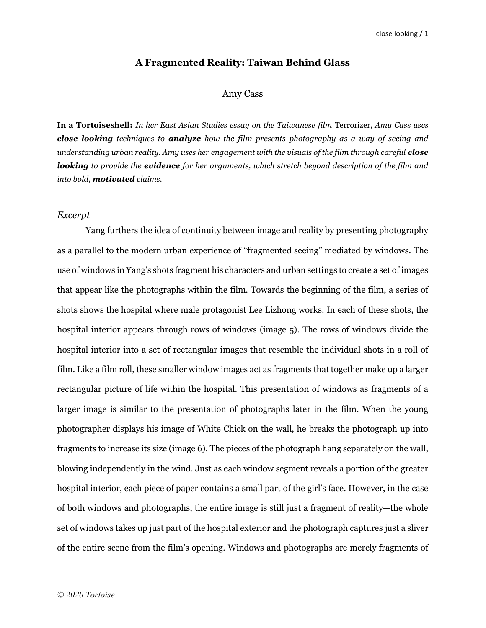#### A Fragmented Reality: Taiwan Behind Glass

## Amy Cass

In a Tortoiseshell: In her East Asian Studies essay on the Taiwanese film Terrorizer, Amy Cass uses **close looking** techniques to **analyze** how the film presents photography as a way of seeing and understanding urban reality. Amy uses her engagement with the visuals of the film through careful **close** looking to provide the evidence for her arguments, which stretch beyond description of the film and into bold, motivated claims.

#### Excerpt

Yang furthers the idea of continuity between image and reality by presenting photography as a parallel to the modern urban experience of "fragmented seeing" mediated by windows. The use of windows in Yang's shots fragment his characters and urban settings to create a set of images that appear like the photographs within the film. Towards the beginning of the film, a series of shots shows the hospital where male protagonist Lee Lizhong works. In each of these shots, the hospital interior appears through rows of windows (image 5). The rows of windows divide the hospital interior into a set of rectangular images that resemble the individual shots in a roll of film. Like a film roll, these smaller window images act as fragments that together make up a larger rectangular picture of life within the hospital. This presentation of windows as fragments of a larger image is similar to the presentation of photographs later in the film. When the young photographer displays his image of White Chick on the wall, he breaks the photograph up into fragments to increase its size (image 6). The pieces of the photograph hang separately on the wall, blowing independently in the wind. Just as each window segment reveals a portion of the greater hospital interior, each piece of paper contains a small part of the girl's face. However, in the case of both windows and photographs, the entire image is still just a fragment of reality—the whole set of windows takes up just part of the hospital exterior and the photograph captures just a sliver of the entire scene from the film's opening. Windows and photographs are merely fragments of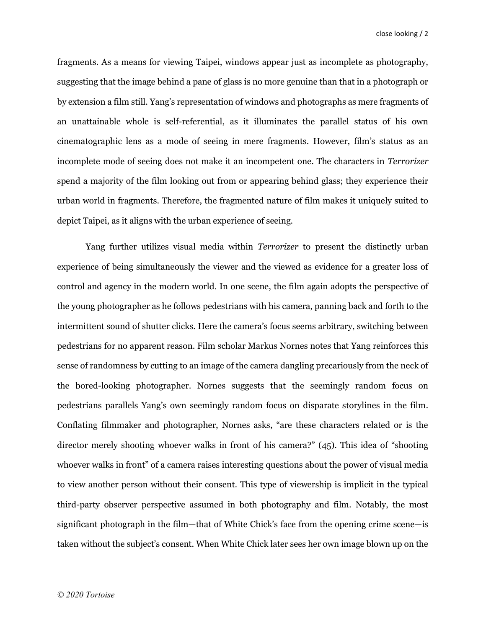fragments. As a means for viewing Taipei, windows appear just as incomplete as photography, suggesting that the image behind a pane of glass is no more genuine than that in a photograph or by extension a film still. Yang's representation of windows and photographs as mere fragments of an unattainable whole is self-referential, as it illuminates the parallel status of his own cinematographic lens as a mode of seeing in mere fragments. However, film's status as an incomplete mode of seeing does not make it an incompetent one. The characters in Terrorizer spend a majority of the film looking out from or appearing behind glass; they experience their urban world in fragments. Therefore, the fragmented nature of film makes it uniquely suited to depict Taipei, as it aligns with the urban experience of seeing.

Yang further utilizes visual media within *Terrorizer* to present the distinctly urban experience of being simultaneously the viewer and the viewed as evidence for a greater loss of control and agency in the modern world. In one scene, the film again adopts the perspective of the young photographer as he follows pedestrians with his camera, panning back and forth to the intermittent sound of shutter clicks. Here the camera's focus seems arbitrary, switching between pedestrians for no apparent reason. Film scholar Markus Nornes notes that Yang reinforces this sense of randomness by cutting to an image of the camera dangling precariously from the neck of the bored-looking photographer. Nornes suggests that the seemingly random focus on pedestrians parallels Yang's own seemingly random focus on disparate storylines in the film. Conflating filmmaker and photographer, Nornes asks, "are these characters related or is the director merely shooting whoever walks in front of his camera?" (45). This idea of "shooting whoever walks in front" of a camera raises interesting questions about the power of visual media to view another person without their consent. This type of viewership is implicit in the typical third-party observer perspective assumed in both photography and film. Notably, the most significant photograph in the film—that of White Chick's face from the opening crime scene—is taken without the subject's consent. When White Chick later sees her own image blown up on the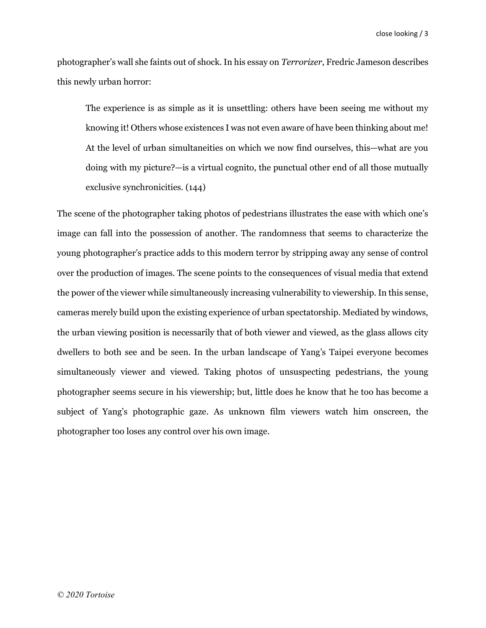photographer's wall she faints out of shock. In his essay on Terrorizer, Fredric Jameson describes this newly urban horror:

The experience is as simple as it is unsettling: others have been seeing me without my knowing it! Others whose existences I was not even aware of have been thinking about me! At the level of urban simultaneities on which we now find ourselves, this—what are you doing with my picture?—is a virtual cognito, the punctual other end of all those mutually exclusive synchronicities. (144)

The scene of the photographer taking photos of pedestrians illustrates the ease with which one's image can fall into the possession of another. The randomness that seems to characterize the young photographer's practice adds to this modern terror by stripping away any sense of control over the production of images. The scene points to the consequences of visual media that extend the power of the viewer while simultaneously increasing vulnerability to viewership. In this sense, cameras merely build upon the existing experience of urban spectatorship. Mediated by windows, the urban viewing position is necessarily that of both viewer and viewed, as the glass allows city dwellers to both see and be seen. In the urban landscape of Yang's Taipei everyone becomes simultaneously viewer and viewed. Taking photos of unsuspecting pedestrians, the young photographer seems secure in his viewership; but, little does he know that he too has become a subject of Yang's photographic gaze. As unknown film viewers watch him onscreen, the photographer too loses any control over his own image.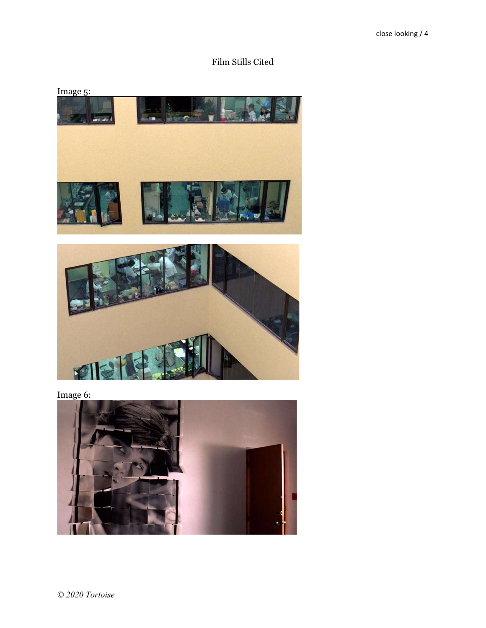Film Stills Cited





Image 6:

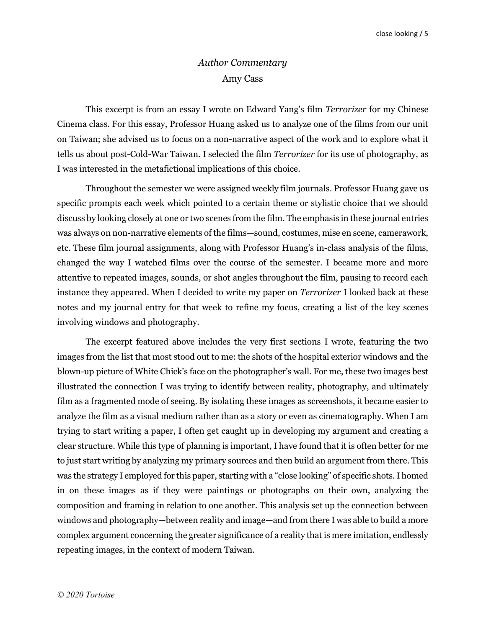# Author Commentary Amy Cass

This excerpt is from an essay I wrote on Edward Yang's film *Terrorizer* for my Chinese Cinema class. For this essay, Professor Huang asked us to analyze one of the films from our unit on Taiwan; she advised us to focus on a non-narrative aspect of the work and to explore what it tells us about post-Cold-War Taiwan. I selected the film Terrorizer for its use of photography, as I was interested in the metafictional implications of this choice.

Throughout the semester we were assigned weekly film journals. Professor Huang gave us specific prompts each week which pointed to a certain theme or stylistic choice that we should discuss by looking closely at one or two scenes from the film. The emphasis in these journal entries was always on non-narrative elements of the films—sound, costumes, mise en scene, camerawork, etc. These film journal assignments, along with Professor Huang's in-class analysis of the films, changed the way I watched films over the course of the semester. I became more and more attentive to repeated images, sounds, or shot angles throughout the film, pausing to record each instance they appeared. When I decided to write my paper on Terrorizer I looked back at these notes and my journal entry for that week to refine my focus, creating a list of the key scenes involving windows and photography.

The excerpt featured above includes the very first sections I wrote, featuring the two images from the list that most stood out to me: the shots of the hospital exterior windows and the blown-up picture of White Chick's face on the photographer's wall. For me, these two images best illustrated the connection I was trying to identify between reality, photography, and ultimately film as a fragmented mode of seeing. By isolating these images as screenshots, it became easier to analyze the film as a visual medium rather than as a story or even as cinematography. When I am trying to start writing a paper, I often get caught up in developing my argument and creating a clear structure. While this type of planning is important, I have found that it is often better for me to just start writing by analyzing my primary sources and then build an argument from there. This was the strategy I employed for this paper, starting with a "close looking" of specific shots. I homed in on these images as if they were paintings or photographs on their own, analyzing the composition and framing in relation to one another. This analysis set up the connection between windows and photography—between reality and image—and from there I was able to build a more complex argument concerning the greater significance of a reality that is mere imitation, endlessly repeating images, in the context of modern Taiwan.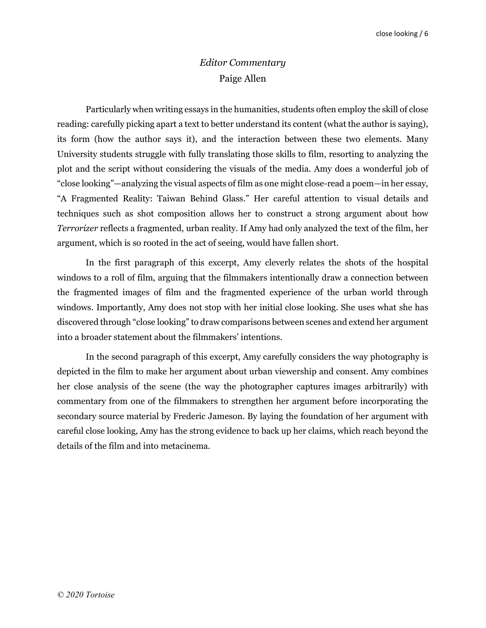## Editor Commentary Paige Allen

Particularly when writing essays in the humanities, students often employ the skill of close reading: carefully picking apart a text to better understand its content (what the author is saying), its form (how the author says it), and the interaction between these two elements. Many University students struggle with fully translating those skills to film, resorting to analyzing the plot and the script without considering the visuals of the media. Amy does a wonderful job of "close looking"—analyzing the visual aspects of film as one might close-read a poem—in her essay, "A Fragmented Reality: Taiwan Behind Glass." Her careful attention to visual details and techniques such as shot composition allows her to construct a strong argument about how Terrorizer reflects a fragmented, urban reality. If Amy had only analyzed the text of the film, her argument, which is so rooted in the act of seeing, would have fallen short.

In the first paragraph of this excerpt, Amy cleverly relates the shots of the hospital windows to a roll of film, arguing that the filmmakers intentionally draw a connection between the fragmented images of film and the fragmented experience of the urban world through windows. Importantly, Amy does not stop with her initial close looking. She uses what she has discovered through "close looking" to draw comparisons between scenes and extend her argument into a broader statement about the filmmakers' intentions.

In the second paragraph of this excerpt, Amy carefully considers the way photography is depicted in the film to make her argument about urban viewership and consent. Amy combines her close analysis of the scene (the way the photographer captures images arbitrarily) with commentary from one of the filmmakers to strengthen her argument before incorporating the secondary source material by Frederic Jameson. By laying the foundation of her argument with careful close looking, Amy has the strong evidence to back up her claims, which reach beyond the details of the film and into metacinema.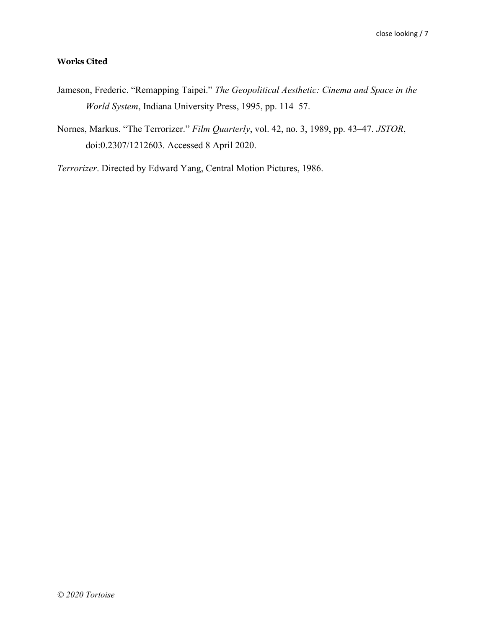## Works Cited

- Jameson, Frederic. "Remapping Taipei." The Geopolitical Aesthetic: Cinema and Space in the World System, Indiana University Press, 1995, pp. 114–57.
- Nornes, Markus. "The Terrorizer." Film Quarterly, vol. 42, no. 3, 1989, pp. 43–47. JSTOR, doi:0.2307/1212603. Accessed 8 April 2020.

Terrorizer. Directed by Edward Yang, Central Motion Pictures, 1986.